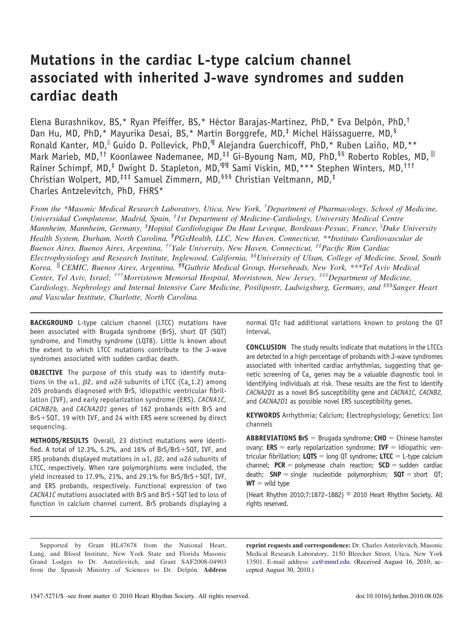# **Mutations in the cardiac L-type calcium channel associated with inherited J-wave syndromes and sudden cardiac death**

Elena Burashnikov, BS,\* Ryan Pfeiffer, BS,\* Héctor Barajas-Martinez, PhD,\* Eva Delpón, PhD,† Dan Hu, MD, PhD,\* Mayurika Desai, BS,\* Martin Borggrefe, MD, $\frac{1}{3}$  Michel Häissaguerre, MD, $\frac{5}{3}$ Ronald Kanter, MD,<sup>II</sup> Guido D. Pollevick, PhD,<sup>II</sup> Alejandra Guerchicoff, PhD,\* Ruben Laiño, MD,\*\* Mark Marieb, MD,<sup>††</sup> Koonlawee Nademanee, MD,<sup>‡‡</sup> Gi-Byoung Nam, MD, PhD,<sup>§§</sup> Roberto Robles, MD,<sup>|||</sup> Rainer Schimpf, MD,<sup>‡</sup> Dwight D. Stapleton, MD,<sup>¶¶</sup> Sami Viskin, MD,\*\*\* Stephen Winters, MD,<sup>†††</sup> Christian Wolpert, MD,‡‡‡ Samuel Zimmern, MD,§§§ Christian Veltmann, MD,‡ Charles Antzelevitch, PhD, FHRS\*

*From the \*Masonic Medical Research Laboratory, Utica, New York, †Department of Pharmacology, School of Medicine, Universidad Complutense, Madrid, Spain, ‡ 1st Department of Medicine-Cardiology, University Medical Centre Mannheim, Mannheim, Germany, §Hopital Cardiologique Du Haut Leveque, Bordeaux-Pessac, France, Duke University Health System, Durham, North Carolina, ¶PGxHealth, LLC, New Haven, Connecticut, \*\*Instituto Cardiovascular de Buenos Aires, Buenos Aires, Argentina, ††Yale University, New Haven, Connecticut, ‡‡Pacific Rim Cardiac Electrophysiology and Research Institute, Inglewood, California, §§University of Ulsan, College of Medicine, Seoul, South Korea,* "*CEMIC, Buenos Aires, Argentina, ¶¶Guthrie Medical Group, Horseheads, New York, \*\*\*Tel Aviv Medical Center, Tel Aviv, Israel; †††Morristown Memorial Hospital, Morristown, New Jersey, ‡‡‡Department of Medicine, Cardiology, Nephrology and Internal Intensive Care Medicine, Posilipostr, Ludwigsburg, Germany, and §§§Sanger Heart and Vascular Institute, Charlotte, North Carolina.*

**BACKGROUND** L-type calcium channel (LTCC) mutations have been associated with Brugada syndrome (BrS), short QT (SQT) syndrome, and Timothy syndrome (LQT8). Little is known about the extent to which LTCC mutations contribute to the J-wave syndromes associated with sudden cardiac death.

**OBJECTIVE** The purpose of this study was to identify mutations in the  $\alpha$ 1,  $\beta$ 2, and  $\alpha$ 2 $\delta$  subunits of LTCC (Ca $_{\mathrm{v}}$ 1.2) among 205 probands diagnosed with BrS, idiopathic ventricular fibrillation (IVF), and early repolarization syndrome (ERS). *CACNA1C, CACNB2b,* and *CACNA2D1* genes of 162 probands with BrS and  $BrS+SQT$ , 19 with IVF, and 24 with ERS were screened by direct sequencing.

**METHODS/RESULTS** Overall, 23 distinct mutations were identified. A total of 12.3%, 5.2%, and 16% of  $BrS/BrS+SQT$ , IVF, and ERS probands displayed mutations in  $\alpha$ 1,  $\beta$ 2, and  $\alpha$ 2 $\delta$  subunits of LTCC, respectively. When rare polymorphisms were included, the yield increased to 17.9%, 21%, and 29.1% for  $BrS/BrS+SQT$ , IVF, and ERS probands, respectively. Functional expression of two *CACNA1C* mutations associated with BrS and BrS+SQT led to loss of function in calcium channel current. BrS probands displaying a normal QTc had additional variations known to prolong the QT interval.

**CONCLUSION** The study results indicate that mutations in the LTCCs are detected in a high percentage of probands with J-wave syndromes associated with inherited cardiac arrhythmias, suggesting that genetic screening of Ca<sub>v</sub> genes may be a valuable diagnostic tool in identifying individuals at risk. These results are the first to identify *CACNA2D1* as a novel BrS susceptibility gene and *CACNA1C, CACNB2,* and *CACNA2D1* as possible novel ERS susceptibility genes.

**KEYWORDS** Arrhythmia; Calcium; Electrophysiology; Genetics; Ion channels

ABBREVIATIONS BrS = Brugada syndrome; CHO = Chinese hamster ovary;  $ERS =$  early repolarization syndrome;  $IVF =$  idiopathic ventricular fibrillation;  $LQTS =$  long QT syndrome;  $LTCC =$  L-type calcium  $channel$ ;  $PCR = polymerase chain reaction$ ;  $SCD = sudden cardiac$ death; **SNP** = single nucleotide polymorphism; **SQT** = short QT;  $WT =$  wild type

(Heart Rhythm 2010;7:1872–1882) © 2010 Heart Rhythm Society. All rights reserved.

Supported by Grant HL47678 from the National Heart, Lung, and Blood Institute, New York State and Florida Masonic Grand Lodges to Dr. Antzelevitch, and Grant SAF2008-04903 from the Spanish Ministry of Sciences to Dr. Delpón. **Address** **reprint requests and correspondence:** Dr. Charles Antzelevitch, Masonic Medical Research Laboratory, 2150 Bleecker Street, Utica, New York 13501. E-mail address: [ca@mmrl.edu.](mailto:ca@mmrl.edu) (Received August 16, 2010; accepted August 30, 2010.)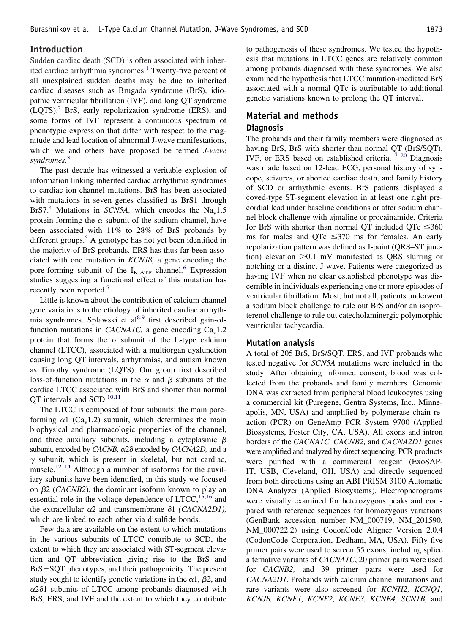# **Introduction**

Sudden cardiac death (SCD) is often associated with inher-ited cardiac arrhythmia syndromes.<sup>[1](#page-10-0)</sup> Twenty-five percent of all unexplained sudden deaths may be due to inherited cardiac diseases such as Brugada syndrome (BrS), idiopathic ventricular fibrillation (IVF), and long QT syndrome  $(LQTS)$ .<sup>[2](#page-10-0)</sup> BrS, early repolarization syndrome (ERS), and some forms of IVF represent a continuous spectrum of phenotypic expression that differ with respect to the magnitude and lead location of abnormal J-wave manifestations, which we and others have proposed be termed *J-wave syndromes.*[3](#page-10-0)

The past decade has witnessed a veritable explosion of information linking inherited cardiac arrhythmia syndromes to cardiac ion channel mutations. BrS has been associated with mutations in seven genes classified as BrS1 through BrS7.<sup>[4](#page-10-0)</sup> Mutations in *SCN5A*, which encodes the Na<sub>v</sub>1.5 protein forming the  $\alpha$  subunit of the sodium channel, have been associated with 11% to 28% of BrS probands by different groups.<sup>[5](#page-10-0)</sup> A genotype has not yet been identified in the majority of BrS probands. ERS has thus far been associated with one mutation in *KCNJ8,* a gene encoding the pore-forming subunit of the  $I_{K-ATP}$  channel.<sup>[6](#page-10-0)</sup> Expression studies suggesting a functional effect of this mutation has recently been reported.<sup>[7](#page-10-0)</sup>

Little is known about the contribution of calcium channel gene variations to the etiology of inherited cardiac arrhyth-mia syndromes. Splawski et al<sup>[8,9](#page-10-0)</sup> first described gain-offunction mutations in *CACNA1C*, a gene encoding  $Ca<sub>v</sub>1.2$ protein that forms the  $\alpha$  subunit of the L-type calcium channel (LTCC), associated with a multiorgan dysfunction causing long QT intervals, arrhythmias, and autism known as Timothy syndrome (LQT8). Our group first described loss-of-function mutations in the  $\alpha$  and  $\beta$  subunits of the cardiac LTCC associated with BrS and shorter than normal QT intervals and SCD.<sup>[10,11](#page-10-0)</sup>

The LTCC is composed of four subunits: the main poreforming  $\alpha$ 1 (Ca<sub>v</sub>1.2) subunit, which determines the main biophysical and pharmacologic properties of the channel, and three auxiliary subunits, including a cytoplasmic  $\beta$ subunit, encoded by *CACNB*, α2δ encoded by *CACNA2D*, and a  $\gamma$  subunit, which is present in skeletal, but not cardiac, muscle.<sup>[12–14](#page-10-0)</sup> Although a number of isoforms for the auxiliary subunits have been identified, in this study we focused on  $\beta$ 2 (*CACNB2*), the dominant isoform known to play an essential role in the voltage dependence of  $LTCC$ ,  $^{15,16}$  $^{15,16}$  $^{15,16}$  and the extracellular  $\alpha$ 2 and transmembrane  $\delta$ 1 *(CACNA2D1)*, which are linked to each other via disulfide bonds.

Few data are available on the extent to which mutations in the various subunits of LTCC contribute to SCD, the extent to which they are associated with ST-segment elevation and QT abbreviation giving rise to the BrS and  $BrS + SQT$  phenotypes, and their pathogenicity. The present study sought to identify genetic variations in the  $\alpha$ 1,  $\beta$ 2, and  $\alpha$ 2 $\delta$ 1 subunits of LTCC among probands diagnosed with BrS, ERS, and IVF and the extent to which they contribute to pathogenesis of these syndromes. We tested the hypothesis that mutations in LTCC genes are relatively common among probands diagnosed with these syndromes. We also examined the hypothesis that LTCC mutation-mediated BrS associated with a normal QTc is attributable to additional genetic variations known to prolong the QT interval.

# **Material and methods Diagnosis**

The probands and their family members were diagnosed as having BrS, BrS with shorter than normal QT (BrS/SQT), IVF, or ERS based on established criteria.<sup>[17–20](#page-10-0)</sup> Diagnosis was made based on 12-lead ECG, personal history of syncope, seizures, or aborted cardiac death, and family history of SCD or arrhythmic events. BrS patients displayed a coved-type ST-segment elevation in at least one right precordial lead under baseline conditions or after sodium channel block challenge with ajmaline or procainamide. Criteria for BrS with shorter than normal QT included QTc  $\leq 360$ ms for males and QTc  $\leq$ 370 ms for females. An early repolarization pattern was defined as J-point (QRS–ST junction) elevation  $>0.1$  mV manifested as QRS slurring or notching or a distinct J wave. Patients were categorized as having IVF when no clear established phenotype was discernible in individuals experiencing one or more episodes of ventricular fibrillation. Most, but not all, patients underwent a sodium block challenge to rule out BrS and/or an isoproterenol challenge to rule out catecholaminergic polymorphic ventricular tachycardia.

## **Mutation analysis**

A total of 205 BrS, BrS/SQT, ERS, and IVF probands who tested negative for *SCN5A* mutations were included in the study. After obtaining informed consent, blood was collected from the probands and family members. Genomic DNA was extracted from peripheral blood leukocytes using a commercial kit (Puregene, Gentra Systems, Inc., Minneapolis, MN, USA) and amplified by polymerase chain reaction (PCR) on GeneAmp PCR System 9700 (Applied Biosystems, Foster City, CA, USA). All exons and intron borders of the *CACNA1C, CACNB2,* and *CACNA2D1* genes were amplified and analyzed by direct sequencing. PCR products were purified with a commercial reagent (ExoSAP-IT, USB, Cleveland, OH, USA) and directly sequenced from both directions using an ABI PRISM 3100 Automatic DNA Analyzer (Applied Biosystems). Electropherograms were visually examined for heterozygous peaks and compared with reference sequences for homozygous variations (GenBank accession number NM\_000719, NM\_201590, NM\_000722.2) using CodonCode Aligner Version 2.0.4 (CodonCode Corporation, Dedham, MA, USA). Fifty-five primer pairs were used to screen 55 exons, including splice alternative variants of *CACNA1C*, 20 primer pairs were used for *CACNB2,* and 39 primer pairs were used for *CACNA2D1*. Probands with calcium channel mutations and rare variants were also screened for *KCNH2, KCNQ1, KCNJ8, KCNE1, KCNE2, KCNE3, KCNE4, SCN1B,* and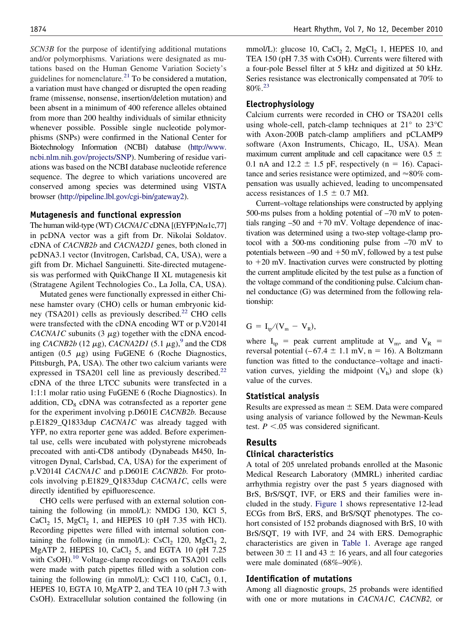*SCN3B* for the purpose of identifying additional mutations and/or polymorphisms. Variations were designated as mutations based on the Human Genome Variation Society's guidelines for nomenclature. $^{21}$  $^{21}$  $^{21}$  To be considered a mutation, a variation must have changed or disrupted the open reading frame (missense, nonsense, insertion/deletion mutation) and been absent in a minimum of 400 reference alleles obtained from more than 200 healthy individuals of similar ethnicity whenever possible. Possible single nucleotide polymorphisms (SNPs) were confirmed in the National Center for Biotechnology Information (NCBI) database [\(http://www.](http://www.ncbi.nlm.nih.gov/projects/SNP) [ncbi.nlm.nih.gov/projects/SNP\)](http://www.ncbi.nlm.nih.gov/projects/SNP). Numbering of residue variations was based on the NCBI database nucleotide reference sequence. The degree to which variations uncovered are conserved among species was determined using VISTA browser [\(http://pipeline.lbl.gov/cgi-bin/gateway2\)](http://pipeline.lbl.gov/cgi-bin/gateway2).

#### **Mutagenesis and functional expression**

The human wild-type (WT)  $CACNAIC$ cDNA  $[(EYFP)Na1c,77]$ in pcDNA vector was a gift from Dr. Nikolai Soldatov. cDNA of *CACNB2b* and *CACNA2D1* genes, both cloned in pcDNA3.1 vector (Invitrogen, Carlsbad, CA, USA), were a gift from Dr. Michael Sanguinetti. Site-directed mutagenesis was performed with QuikChange II XL mutagenesis kit (Stratagene Agilent Technologies Co., La Jolla, CA, USA).

Mutated genes were functionally expressed in either Chinese hamster ovary (CHO) cells or human embryonic kid-ney (TSA201) cells as previously described.<sup>[22](#page-10-0)</sup> CHO cells were transfected with the cDNA encoding WT or p.V2014I *CACNA1C* subunits  $(3 \mu g)$  together with the cDNA encoding *CACNB2b* (12  $\mu$ g), *CACNA2D1* (5.1  $\mu$ g),<sup>[9](#page-10-0)</sup> and the CD8 antigen  $(0.5 \mu g)$  using FuGENE 6 (Roche Diagnostics, Pittsburgh, PA, USA). The other two calcium variants were expressed in TSA201 cell line as previously described.<sup>[22](#page-10-0)</sup> cDNA of the three LTCC subunits were transfected in a 1:1:1 molar ratio using FuGENE 6 (Roche Diagnostics). In addition, CD<sub>8</sub> cDNA was cotransfected as a reporter gene for the experiment involving p.D601E *CACNB2b.* Because p.E1829\_Q1833dup *CACNA1C* was already tagged with YFP, no extra reporter gene was added. Before experimental use, cells were incubated with polystyrene microbeads precoated with anti-CD8 antibody (Dynabeads M450, Invitrogen Dynal, Carlsbad, CA, USA) for the experiment of p.V2014I *CACNA1C* and p.D601E *CACNB2b.* For protocols involving p.E1829\_Q1833dup *CACNA1C*, cells were directly identified by epifluorescence.

CHO cells were perfused with an external solution containing the following (in mmol/L): NMDG 130, KCl 5,  $CaCl<sub>2</sub>$  15, MgCl<sub>2</sub> 1, and HEPES 10 (pH 7.35 with HCl). Recording pipettes were filled with internal solution containing the following (in mmol/L):  $CsCl<sub>2</sub> 120$ ,  $MgCl<sub>2</sub> 2$ , MgATP 2, HEPES 10, CaCl<sub>2</sub> 5, and EGTA 10 (pH  $7.25$ ) with CsOH).<sup>[10](#page-10-0)</sup> Voltage-clamp recordings on TSA201 cells were made with patch pipettes filled with a solution containing the following (in mmol/L): CsCl 110, CaCl<sub>2</sub> 0.1, HEPES 10, EGTA 10, MgATP 2, and TEA 10 (pH 7.3 with CsOH). Extracellular solution contained the following (in

mmol/L): glucose 10, CaCl<sub>2</sub> 2, MgCl<sub>2</sub> 1, HEPES 10, and TEA 150 (pH 7.35 with CsOH). Currents were filtered with a four-pole Bessel filter at 5 kHz and digitized at 50 kHz. Series resistance was electronically compensated at 70% to  $80\%$ <sup>[23](#page-10-0)</sup>

## **Electrophysiology**

Calcium currents were recorded in CHO or TSA201 cells using whole-cell, patch-clamp techniques at 21° to 23°C with Axon-200B patch-clamp amplifiers and pCLAMP9 software (Axon Instruments, Chicago, IL, USA). Mean maximum current amplitude and cell capacitance were  $0.5 \pm$ 0.1 nA and  $12.2 \pm 1.5$  pF, respectively (n = 16). Capacitance and series resistance were optimized, and  $\approx 80\%$  compensation was usually achieved, leading to uncompensated access resistances of 1.5  $\pm$  0.7 M $\Omega$ .

Current–voltage relationships were constructed by applying 500-ms pulses from a holding potential of –70 mV to potentials ranging  $-50$  and  $+70$  mV. Voltage dependence of inactivation was determined using a two-step voltage-clamp protocol with a 500-ms conditioning pulse from –70 mV to potentials between  $-90$  and  $+50$  mV, followed by a test pulse to  $+20$  mV. Inactivation curves were constructed by plotting the current amplitude elicited by the test pulse as a function of the voltage command of the conditioning pulse. Calcium channel conductance (G) was determined from the following relationship:

$$
G = I_{tp}/(V_m - V_R),
$$

where  $I_{tp}$  = peak current amplitude at  $V_{m}$ , and  $V_{R}$  = reversal potential  $(-67.4 \pm 1.1 \text{ mV}, n = 16)$ . A Boltzmann function was fitted to the conductance–voltage and inactivation curves, yielding the midpoint  $(V<sub>h</sub>)$  and slope  $(k)$ value of the curves.

## **Statistical analysis**

Results are expressed as mean  $\pm$  SEM. Data were compared using analysis of variance followed by the Newman-Keuls test.  $P < 0.05$  was considered significant.

#### **Results**

#### **Clinical characteristics**

A total of 205 unrelated probands enrolled at the Masonic Medical Research Laboratory (MMRL) inherited cardiac arrhythmia registry over the past 5 years diagnosed with BrS, BrS/SQT, IVF, or ERS and their families were included in the study. [Figure 1](#page-3-0) shows representative 12-lead ECGs from BrS, ERS, and BrS/SQT phenotypes. The cohort consisted of 152 probands diagnosed with BrS, 10 with BrS/SQT, 19 with IVF, and 24 with ERS. Demographic characteristics are given in [Table 1.](#page-4-0) Average age ranged between 30  $\pm$  11 and 43  $\pm$  16 years, and all four categories were male dominated (68%–90%).

#### **Identification of mutations**

Among all diagnostic groups, 25 probands were identified with one or more mutations in *CACNA1C, CACNB2,* or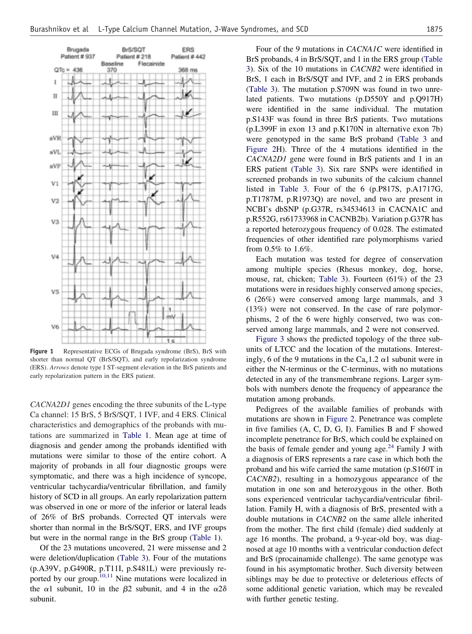<span id="page-3-0"></span>

**Figure 1** Representative ECGs of Brugada syndrome (BrS), BrS with shorter than normal QT (BrS/SQT), and early repolarization syndrome (ERS). *Arrows* denote type I ST-segment elevation in the BrS patients and early repolarization pattern in the ERS patient.

*CACNA2D1* genes encoding the three subunits of the L-type Ca channel: 15 BrS, 5 BrS/SQT, 1 IVF, and 4 ERS. Clinical characteristics and demographics of the probands with mutations are summarized in [Table 1.](#page-4-0) Mean age at time of diagnosis and gender among the probands identified with mutations were similar to those of the entire cohort. A majority of probands in all four diagnostic groups were symptomatic, and there was a high incidence of syncope, ventricular tachycardia/ventricular fibrillation, and family history of SCD in all groups. An early repolarization pattern was observed in one or more of the inferior or lateral leads of 26% of BrS probands. Corrected QT intervals were shorter than normal in the BrS/SQT, ERS, and IVF groups but were in the normal range in the BrS group [\(Table 1\)](#page-4-0).

Of the 23 mutations uncovered, 21 were missense and 2 were deletion/duplication [\(Table 3\)](#page-8-0). Four of the mutations (p.A39V, p.G490R, p.T11I, p.S481L) were previously re-ported by our group.<sup>[10,11](#page-10-0)</sup> Nine mutations were localized in the  $\alpha$ 1 subunit, 10 in the  $\beta$ 2 subunit, and 4 in the  $\alpha$ 2 $\delta$ subunit.

Four of the 9 mutations in *CACNA1C* were identified in BrS probands, 4 in BrS/SQT, and 1 in the ERS group [\(Table](#page-8-0) [3\)](#page-8-0). Six of the 10 mutations in *CACNB2* were identified in BrS, 1 each in BrS/SQT and IVF, and 2 in ERS probands [\(Table 3\)](#page-8-0). The mutation p.S709N was found in two unrelated patients. Two mutations (p.D550Y and p.Q917H) were identified in the same individual. The mutation p.S143F was found in three BrS patients. Two mutations (p.L399F in exon 13 and p.K170N in alternative exon 7b) were genotyped in the same BrS proband [\(Table 3](#page-8-0) and [Figure 2H](#page-4-0)). Three of the 4 mutations identified in the *CACNA2D1* gene were found in BrS patients and 1 in an ERS patient [\(Table 3\)](#page-8-0). Six rare SNPs were identified in screened probands in two subunits of the calcium channel listed in [Table 3.](#page-8-0) Four of the 6 (p.P817S, p.A1717G, p.T1787M, p.R1973Q) are novel, and two are present in NCBI's dbSNP (p.G37R, rs34534613 in CACNA1C and p.R552G, rs61733968 in CACNB2b). Variation p.G37R has a reported heterozygous frequency of 0.028. The estimated frequencies of other identified rare polymorphisms varied from 0.5% to 1.6%.

Each mutation was tested for degree of conservation among multiple species (Rhesus monkey, dog, horse, mouse, rat, chicken; [Table 3\)](#page-8-0). Fourteen (61%) of the 23 mutations were in residues highly conserved among species, 6 (26%) were conserved among large mammals, and 3 (13%) were not conserved. In the case of rare polymorphisms, 2 of the 6 were highly conserved, two was conserved among large mammals, and 2 were not conserved.

[Figure 3](#page-5-0) shows the predicted topology of the three subunits of LTCC and the location of the mutations. Interestingly, 6 of the 9 mutations in the Ca<sub>y</sub> 1.2  $\alpha$ 1 subunit were in either the N-terminus or the C-terminus, with no mutations detected in any of the transmembrane regions. Larger symbols with numbers denote the frequency of appearance the mutation among probands.

Pedigrees of the available families of probands with mutations are shown in [Figure 2.](#page-4-0) Penetrance was complete in five families (A, C, D, G, I). Families B and F showed incomplete penetrance for BrS, which could be explained on the basis of female gender and young age. $^{24}$  $^{24}$  $^{24}$  Family J with a diagnosis of ERS represents a rare case in which both the proband and his wife carried the same mutation (p.S160T in *CACNB2*), resulting in a homozygous appearance of the mutation in one son and heterozygous in the other. Both sons experienced ventricular tachycardia/ventricular fibrillation. Family H, with a diagnosis of BrS, presented with a double mutations in *CACNB2* on the same allele inherited from the mother. The first child (female) died suddenly at age 16 months. The proband, a 9-year-old boy, was diagnosed at age 10 months with a ventricular conduction defect and BrS (procainamide challenge). The same genotype was found in his asymptomatic brother. Such diversity between siblings may be due to protective or deleterious effects of some additional genetic variation, which may be revealed with further genetic testing.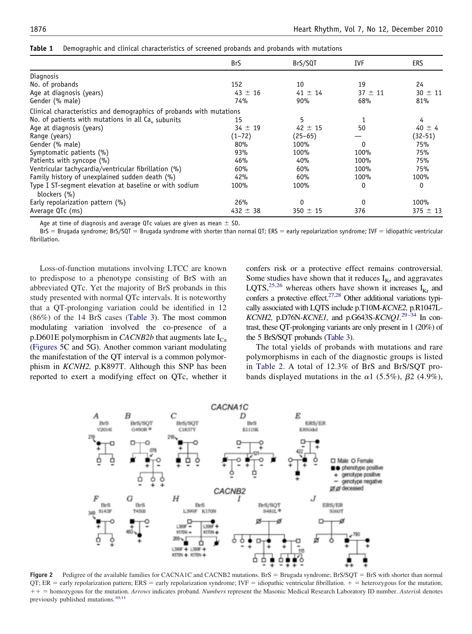|                                                                      | <b>BrS</b>   | BrS/SQT      | IVF         | <b>ERS</b>   |
|----------------------------------------------------------------------|--------------|--------------|-------------|--------------|
| Diagnosis                                                            |              |              |             |              |
| No. of probands                                                      | 152          | 10           | 19          | 24           |
| Age at diagnosis (years)                                             | $43 \pm 16$  | $41 \pm 14$  | $37 \pm 11$ | $30 \pm 11$  |
| Gender (% male)                                                      | 74%          | 90%          | 68%         | 81%          |
| Clinical characteristics and demographics of probands with mutations |              |              |             |              |
| No. of patients with mutations in all $Cav$ subunits                 | 15           | 5            |             | 4            |
| Age at diagnosis (years)                                             | $34 \pm 19$  | $42 \pm 15$  | 50          | $40 \pm 4$   |
| Range (years)                                                        | (1–72)       | $(25-65)$    |             | (32-51)      |
| Gender (% male)                                                      | 80%          | 100%         | 0           | 75%          |
| Symptomatic patients (%)                                             | 93%          | 100%         | 100%        | 75%          |
| Patients with syncope (%)                                            | 46%          | 40%          | 100%        | 75%          |
| Ventricular tachycardia/ventricular fibrillation (%)                 | 60%          | 60%          | 100%        | 75%          |
| Family history of unexplained sudden death (%)                       | 42%          | 60%          | 100%        | 100%         |
| Type I ST-segment elevation at baseline or with sodium               | 100%         | 100%         | 0           | 0            |
| blockers (%)                                                         |              |              |             |              |
| Early repolarization pattern (%)                                     | 26%          | $\Omega$     | $\Omega$    | 100%         |
| Average QTc (ms)                                                     | 432 $\pm$ 38 | $350 \pm 15$ | 376         | $375 \pm 13$ |

<span id="page-4-0"></span>**Table 1** Demographic and clinical characteristics of screened probands and probands with mutations

Age at time of diagnosis and average QTc values are given as mean  $\pm$  SD.

BrS = Brugada syndrome; BrS/SQT = Brugada syndrome with shorter than normal QT; ERS = early repolarization syndrome; IVF = idiopathic ventricular fibrillation.

Loss-of-function mutations involving LTCC are known to predispose to a phenotype consisting of BrS with an abbreviated QTc. Yet the majority of BrS probands in this study presented with normal QTc intervals. It is noteworthy that a QT-prolonging variation could be identified in 12 (86%) of the 14 BrS cases [\(Table 3\)](#page-8-0). The most common modulating variation involved the co-presence of a p.D601E polymorphism in *CACNB2b* that augments late  $I_{Ca}$ [\(Figures 5C](#page-9-0) and [5G](#page-9-0)). Another common variant modulating the manifestation of the QT interval is a common polymorphism in *KCNH2,* p.K897T. Although this SNP has been reported to exert a modifying effect on QTc, whether it confers risk or a protective effect remains controversial. Some studies have shown that it reduces  $I_{Kr}$  and aggravates LQTS,<sup>[25,26](#page-10-0)</sup> whereas others have shown it increases  $I_{Kr}$  and confers a protective effect.<sup>[27,28](#page-10-0)</sup> Other additional variations typically associated with LQTS include p.T10M-*KCNE2,* p*.*R1047L*-KCNH2,* p.D76N*-KCNE1,* and p.G643S*-KCNQ1.*[29–34](#page-10-0) In contrast, these QT-prolonging variants are only present in 1 (20%) of the 5 BrS/SQT probands [\(Table 3\)](#page-8-0).

The total yields of probands with mutations and rare polymorphisms in each of the diagnostic groups is listed in [Table 2.](#page-6-0) A total of 12.3% of BrS and BrS/SQT probands displayed mutations in the  $\alpha$ 1 (5.5%),  $\beta$ 2 (4.9%),



Figure 2 Pedigree of the available families for CACNA1C and CACNB2 mutations. BrS = Brugada syndrome; BrS/SQT = BrS with shorter than normal  $QT$ ; ER = early repolarization pattern; ERS = early repolarization syndrome; IVF = idiopathic ventricular fibrillation.  $+$  = heterozygous for the mutation; - homozygous for the mutation. *Arrows* indicates proband. *Numbers* represent the Masonic Medical Research Laboratory ID number. *Asterisk* denotes previously published mutations.<sup>[10,11](#page-10-0)</sup>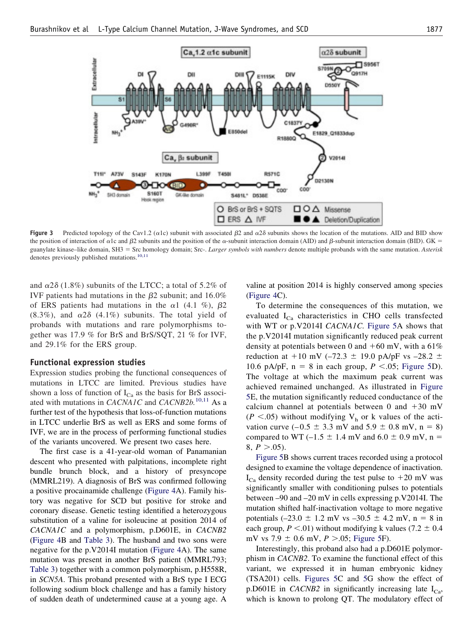<span id="page-5-0"></span>

**Figure 3** Predicted topology of the Cav1.2 ( $\alpha$ 1c) subunit with associated  $\beta$ 2 and  $\alpha$ 2 $\delta$  subunits shows the location of the mutations. AID and BID show the position of interaction of  $\alpha$ 1c and  $\beta$ 2 subunits and the position of the  $\alpha$ -subunit interaction domain (AID) and  $\beta$ -subunit interaction domain (BID). GK = guanylate kinase–like domain, SH3 - Src homology domain; Src-. *Larger symbols with numbers* denote multiple probands with the same mutation. *Asterisk* denotes previously published mutations.<sup>[10,11](#page-10-0)</sup>

and  $\alpha$ 2 $\delta$  (1.8%) subunits of the LTCC; a total of 5.2% of IVF patients had mutations in the  $\beta$ 2 subunit; and 16.0% of ERS patients had mutations in the  $\alpha$ 1 (4.1 %),  $\beta$ 2  $(8.3\%)$ , and  $\alpha$ 2 $\delta$  (4.1%) subunits. The total yield of probands with mutations and rare polymorphisms together was 17.9 % for BrS and BrS/SQT, 21 % for IVF, and 29.1% for the ERS group.

#### **Functional expression studies**

Expression studies probing the functional consequences of mutations in LTCC are limited. Previous studies have shown a loss of function of  $I_{Ca}$  as the basis for BrS associated with mutations in *CACNA1C* and *CACNB2b.*[10,11](#page-10-0) As a further test of the hypothesis that loss-of-function mutations in LTCC underlie BrS as well as ERS and some forms of IVF, we are in the process of performing functional studies of the variants uncovered. We present two cases here.

The first case is a 41-year-old woman of Panamanian descent who presented with palpitations, incomplete right bundle brunch block, and a history of presyncope (MMRL219). A diagnosis of BrS was confirmed following a positive procainamide challenge [\(Figure 4A](#page-7-0)). Family history was negative for SCD but positive for stroke and coronary disease. Genetic testing identified a heterozygous substitution of a valine for isoleucine at position 2014 of *CACNA1C* and a polymorphism, p.D601E, in *CACNB2* [\(Figure 4B](#page-7-0) and [Table 3\)](#page-8-0). The husband and two sons were negative for the p.V2014I mutation [\(Figure 4A](#page-7-0)). The same mutation was present in another BrS patient (MMRL793; [Table 3\)](#page-8-0) together with a common polymorphism, p.H558R, in *SCN5A*. This proband presented with a BrS type I ECG following sodium block challenge and has a family history of sudden death of undetermined cause at a young age. A

valine at position 2014 is highly conserved among species [\(Figure 4C](#page-7-0)).

To determine the consequences of this mutation, we evaluated  $I_{Ca}$  characteristics in CHO cells transfected with WT or p.V2014I *CACNA1C.* [Figure 5A](#page-9-0) shows that the p.V2014I mutation significantly reduced peak current density at potentials between 0 and  $+60$  mV, with a 61% reduction at  $+10$  mV (–72.3  $\pm$  19.0 pA/pF vs –28.2  $\pm$ 10.6 pA/pF,  $n = 8$  in each group,  $P \le 0.05$ ; [Figure 5D](#page-9-0)). The voltage at which the maximum peak current was achieved remained unchanged. As illustrated in [Figure](#page-9-0) [5E](#page-9-0), the mutation significantly reduced conductance of the calcium channel at potentials between 0 and  $+30$  mV  $(P \le 0.05)$  without modifying V<sub>h</sub> or k values of the activation curve  $(-0.5 \pm 3.3 \text{ mV} \text{ and } 5.9 \pm 0.8 \text{ mV}, n = 8)$ compared to WT (–1.5  $\pm$  1.4 mV and 6.0  $\pm$  0.9 mV, n =  $8, P > 0.05$ .

[Figure 5B](#page-9-0) shows current traces recorded using a protocol designed to examine the voltage dependence of inactivation.  $I_{Ca}$  density recorded during the test pulse to  $+20$  mV was significantly smaller with conditioning pulses to potentials between –90 and –20 mV in cells expressing p.V2014I. The mutation shifted half-inactivation voltage to more negative potentials  $(-23.0 \pm 1.2 \text{ mV vs } -30.5 \pm 4.2 \text{ mV}, n = 8 \text{ in}$ each group,  $P < .01$ ) without modifying k values (7.2  $\pm$  0.4 mV vs  $7.9 \pm 0.6$  mV,  $P > 0.05$ ; [Figure 5F](#page-9-0)).

Interestingly, this proband also had a p.D601E polymorphism in *CACNB2*. To examine the functional effect of this variant, we expressed it in human embryonic kidney (TSA201) cells. [Figures 5C](#page-9-0) and [5G](#page-9-0) show the effect of p.D601E in *CACNB2* in significantly increasing late  $I_{C_2}$ , which is known to prolong QT. The modulatory effect of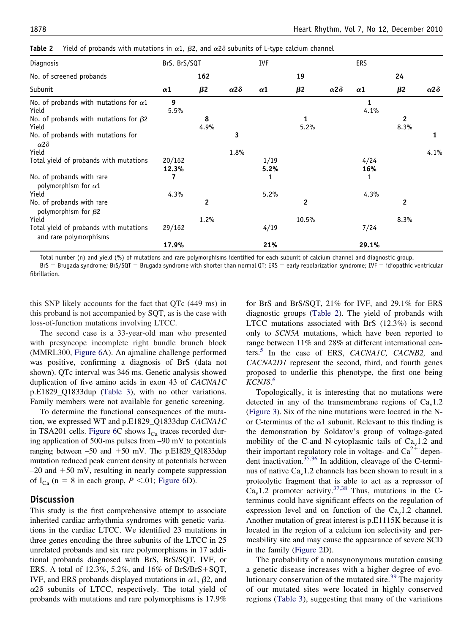<span id="page-6-0"></span>

|  |  |  |  | <b>Table 2</b> Yield of probands with mutations in $\alpha$ 1, $\beta$ 2, and $\alpha$ 2 $\delta$ subunits of L-type calcium channel |  |
|--|--|--|--|--------------------------------------------------------------------------------------------------------------------------------------|--|
|--|--|--|--|--------------------------------------------------------------------------------------------------------------------------------------|--|

| Diagnosis                                                        | BrS, BrS/SQT<br>162 |           |                     | <b>IVF</b><br>19 |           |                     | <b>ERS</b><br>24 |              |                     |
|------------------------------------------------------------------|---------------------|-----------|---------------------|------------------|-----------|---------------------|------------------|--------------|---------------------|
| No. of screened probands                                         |                     |           |                     |                  |           |                     |                  |              |                     |
| Subunit                                                          | $\alpha$ 1          | $\beta$ 2 | $\alpha$ 2 $\delta$ | $\alpha$ 1       | $\beta$ 2 | $\alpha$ 2 $\delta$ | $\alpha$ 1       | $\beta$ 2    | $\alpha$ 2 $\delta$ |
| No. of probands with mutations for $\alpha$ 1<br>Yield           | 9<br>5.5%           |           |                     |                  |           |                     | 1<br>4.1%        |              |                     |
| No. of probands with mutations for $\beta$ 2                     |                     | 8         |                     |                  | 1         |                     |                  | $\mathbf{2}$ |                     |
| Yield                                                            |                     | 4.9%      |                     |                  | 5.2%      |                     |                  | 8.3%         |                     |
| No. of probands with mutations for<br>$\alpha$ 2 $\delta$        |                     |           | 3                   |                  |           |                     |                  |              | 1                   |
| Yield                                                            |                     |           | 1.8%                |                  |           |                     |                  |              | 4.1%                |
| Total yield of probands with mutations                           | 20/162<br>12.3%     |           |                     | 1/19<br>5.2%     |           |                     | 4/24<br>16%      |              |                     |
| No. of probands with rare<br>polymorphism for $\alpha$ 1         |                     |           |                     |                  |           |                     |                  |              |                     |
| Yield                                                            | 4.3%                |           |                     | 5.2%             |           |                     | 4.3%             |              |                     |
| No. of probands with rare<br>polymorphism for $\beta$ 2          |                     | 2         |                     |                  | 2         |                     |                  | $\mathbf{2}$ |                     |
| Yield                                                            |                     | 1.2%      |                     |                  | 10.5%     |                     |                  | 8.3%         |                     |
| Total yield of probands with mutations<br>and rare polymorphisms | 29/162              |           |                     | 4/19             |           |                     | 7/24             |              |                     |
|                                                                  | 17.9%               |           |                     | 21%              |           |                     | 29.1%            |              |                     |

Total number (n) and yield (%) of mutations and rare polymorphisms identified for each subunit of calcium channel and diagnostic group.

BrS = Brugada syndrome; BrS/SQT = Brugada syndrome with shorter than normal QT; ERS = early repolarization syndrome; IVF = idiopathic ventricular fibrillation.

this SNP likely accounts for the fact that QTc (449 ms) in this proband is not accompanied by SQT, as is the case with loss-of-function mutations involving LTCC.

The second case is a 33-year-old man who presented with presyncope incomplete right bundle brunch block (MMRL300, [Figure 6A](#page-9-0)). An ajmaline challenge performed was positive, confirming a diagnosis of BrS (data not shown). QTc interval was 346 ms. Genetic analysis showed duplication of five amino acids in exon 43 of *CACNA1C* p.E1829\_Q1833dup [\(Table 3\)](#page-8-0), with no other variations. Family members were not available for genetic screening.

To determine the functional consequences of the mutation, we expressed WT and p.E1829\_Q1833dup *CACNA1C* in TSA201 cells. [Figure 6C](#page-9-0) shows  $I_{Ca}$  traces recorded during application of 500-ms pulses from –90 mV to potentials ranging between  $-50$  and  $+50$  mV. The p.E1829\_Q1833dup mutation reduced peak current density at potentials between  $-20$  and  $+50$  mV, resulting in nearly compete suppression of  $I_{Ca}$  (n = 8 in each group,  $P < 0.01$ ; [Figure 6D](#page-9-0)).

## **Discussion**

This study is the first comprehensive attempt to associate inherited cardiac arrhythmia syndromes with genetic variations in the cardiac LTCC. We identified 23 mutations in three genes encoding the three subunits of the LTCC in 25 unrelated probands and six rare polymorphisms in 17 additional probands diagnosed with BrS, BrS/SQT, IVF, or ERS. A total of  $12.3\%$ ,  $5.2\%$ , and  $16\%$  of BrS/BrS+SQT, IVF, and ERS probands displayed mutations in  $\alpha$ 1,  $\beta$ 2, and  $\alpha$ 2 $\delta$  subunits of LTCC, respectively. The total yield of probands with mutations and rare polymorphisms is 17.9%

for BrS and BrS/SQT, 21% for IVF, and 29.1% for ERS diagnostic groups (Table 2). The yield of probands with LTCC mutations associated with BrS (12.3%) is second only to *SCN5A* mutations, which have been reported to range between 11% and 28% at different international centers.[5](#page-10-0) In the case of ERS, *CACNA1C, CACNB2,* and *CACNA2D1* represent the second, third, and fourth genes proposed to underlie this phenotype, the first one being *KCNJ8*. [6](#page-10-0)

Topologically, it is interesting that no mutations were detected in any of the transmembrane regions of  $Ca<sub>v</sub>1.2$ [\(Figure 3\)](#page-5-0). Six of the nine mutations were located in the Nor C-terminus of the  $\alpha$ 1 subunit. Relevant to this finding is the demonstration by Soldatov's group of voltage-gated mobility of the C-and N-cytoplasmic tails of  $Ca<sub>v</sub>1.2$  and their important regulatory role in voltage- and  $Ca^{2+}$ -depen-dent inactivation.<sup>[35,36](#page-10-0)</sup> In addition, cleavage of the C-terminus of native  $Ca<sub>v</sub>1.2$  channels has been shown to result in a proteolytic fragment that is able to act as a repressor of  $Ca<sub>v</sub>1.2$  promoter activity.<sup>[37,38](#page-10-0)</sup> Thus, mutations in the Cterminus could have significant effects on the regulation of expression level and on function of the  $Ca<sub>v</sub>1.2$  channel. Another mutation of great interest is p.E1115K because it is located in the region of a calcium ion selectivity and permeability site and may cause the appearance of severe SCD in the family [\(Figure 2D](#page-4-0)).

The probability of a nonsynonymous mutation causing a genetic disease increases with a higher degree of evo-lutionary conservation of the mutated site.<sup>[39](#page-10-0)</sup> The majority of our mutated sites were located in highly conserved regions [\(Table 3\)](#page-8-0), suggesting that many of the variations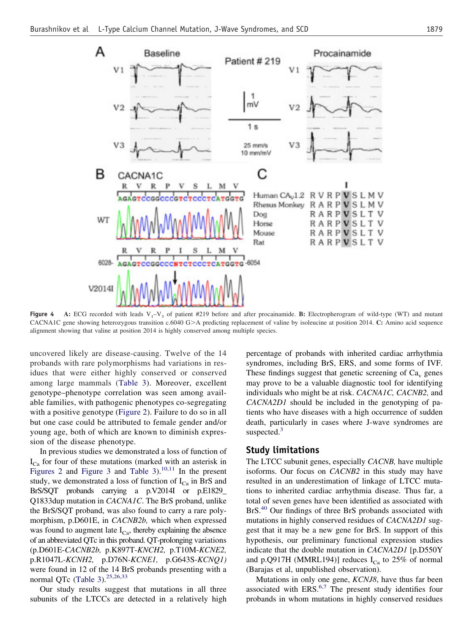<span id="page-7-0"></span>

**Figure 4** A: ECG recorded with leads  $V_1 - V_3$  of patient #219 before and after procainamide. **B:** Electropherogram of wild-type (WT) and mutant CACNA1C gene showing heterozygous transition c.6040 G>A predicting replacement of valine by isoleucine at position 2014. C: Amino acid sequence alignment showing that valine at position 2014 is highly conserved among multiple species.

uncovered likely are disease-causing. Twelve of the 14 probands with rare polymorphisms had variations in residues that were either highly conserved or conserved among large mammals [\(Table 3\)](#page-8-0). Moreover, excellent genotype–phenotype correlation was seen among available families, with pathogenic phenotypes co-segregating with a positive genotype [\(Figure 2\)](#page-4-0). Failure to do so in all but one case could be attributed to female gender and/or young age, both of which are known to diminish expression of the disease phenotype.

In previous studies we demonstrated a loss of function of  $I_{Ca}$  for four of these mutations (marked with an asterisk in [Figures 2](#page-4-0) and [Figure 3](#page-5-0) and [Table 3\)](#page-8-0).<sup>[10,11](#page-10-0)</sup> In the present study, we demonstrated a loss of function of  $I_{Ca}$  in BrS and BrS/SQT probands carrying a p.V2014I or p.E1829\_ Q1833dup mutation in *CACNA1C*. The BrS proband, unlike the BrS/SQT proband, was also found to carry a rare polymorphism, p.D601E, in *CACNB2b,* which when expressed was found to augment late  $I_{Ca}$ , thereby explaining the absence of an abbreviated QTc in this proband. QT-prolonging variations (p.D601E-*CACNB2b,* p.K897T-*KNCH2,* p.T10M-*KCNE2,* p.R1047L*-KCNH2,* p.D76N*-KCNE1,* p.G643S*-KCNQ1)* were found in 12 of the 14 BrS probands presenting with a normal QTc [\(Table 3\)](#page-8-0).<sup>[25,26,33](#page-10-0)</sup>

Our study results suggest that mutations in all three subunits of the LTCCs are detected in a relatively high percentage of probands with inherited cardiac arrhythmia syndromes, including BrS, ERS, and some forms of IVF. These findings suggest that genetic screening of  $Ca<sub>v</sub>$  genes may prove to be a valuable diagnostic tool for identifying individuals who might be at risk. *CACNA1C, CACNB2,* and *CACNA2D1* should be included in the genotyping of patients who have diseases with a high occurrence of sudden death, particularly in cases where J-wave syndromes are suspected.<sup>[3](#page-10-0)</sup>

## **Study limitations**

The LTCC subunit genes, especially *CACNB,* have multiple isoforms. Our focus on *CACNB2* in this study may have resulted in an underestimation of linkage of LTCC mutations to inherited cardiac arrhythmia disease. Thus far, a total of seven genes have been identified as associated with BrS.<sup>[40](#page-10-0)</sup> Our findings of three BrS probands associated with mutations in highly conserved residues of *CACNA2D1* suggest that it may be a new gene for BrS. In support of this hypothesis, our preliminary functional expression studies indicate that the double mutation in *CACNA2D1* [p.D550Y and p.Q917H (MMRL194)] reduces  $I_{Ca}$  to 25% of normal (Barajas et al, unpublished observation).

Mutations in only one gene, *KCNJ8*, have thus far been associated with  $ERS<sup>6,7</sup>$  $ERS<sup>6,7</sup>$  $ERS<sup>6,7</sup>$  The present study identifies four probands in whom mutations in highly conserved residues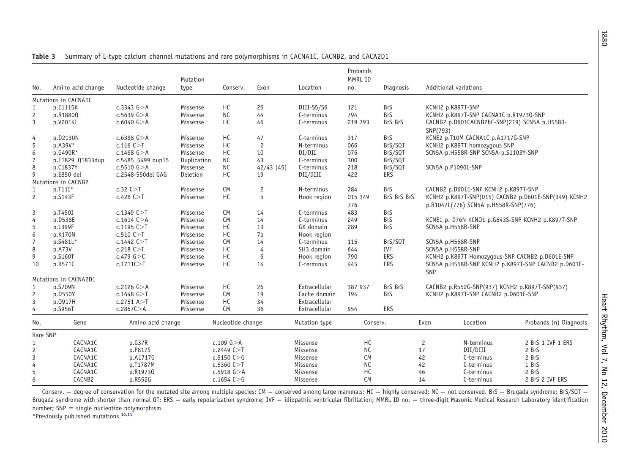| No.                   | Amino acid change     | Nucleotide change | Mutation<br>type | Conserv.          | Exon      | Location      | Probands<br>MMRL ID<br>no. | Diagnosis   |                                                            | Additional variations                                     |                                                      |  |
|-----------------------|-----------------------|-------------------|------------------|-------------------|-----------|---------------|----------------------------|-------------|------------------------------------------------------------|-----------------------------------------------------------|------------------------------------------------------|--|
|                       | Mutations in CACNA1C  |                   |                  |                   |           |               |                            |             |                                                            |                                                           |                                                      |  |
| 1                     | p.E1115K              | $c.3343$ $G > A$  | Missense         | HC                | 26        | DIII-S5/S6    | 121                        | <b>BrS</b>  |                                                            | KCNH2 p.K897T-SNP                                         |                                                      |  |
| $\overline{c}$        | p.R1880Q              | $c.5639$ $G > A$  | Missense         | <b>NC</b>         | 44        | C-terminus    | 794                        | <b>BrS</b>  |                                                            | KCNH2 p.K897T-SNP CACNA1C p.R1973Q-SNP                    |                                                      |  |
| 3                     | p.V2014I              | $c.6040$ G $>A$   | Missense         | HC                | 46        | C-terminus    | 219 793                    | BrS BrS     |                                                            | CACNB2 p.D601CACNB2bE-SNP(219) SCN5A p.H558R-<br>SNP(793) |                                                      |  |
| 4                     | p.D2130N              | $c.6388$ $G > A$  | Missense         | HC                | 47        | C-terminus    | 317                        | <b>BrS</b>  |                                                            | KCNE2 p.T10M CACNA1C p.A1717G-SNP                         |                                                      |  |
| 5                     | $p.A39V*$             | $c.116$ C $>$ T   | Missense         | HC                | 2         | N-terminus    | 066                        | BrS/SQT     |                                                            | KCNH2 p.K897T homozyqous SNP                              |                                                      |  |
| 6                     | p.G490R*              | $c.1468$ G $>$ A  | Missense         | HC                | 10        | DI/DII        | 076                        | BrS/SQT     |                                                            | SCN5A-p.H558R-SNP SCN5A-p.S1103Y-SNP                      |                                                      |  |
| $\overline{7}$        | p.E1829_Q1833dup      | c.5485_5499 dup15 | Duplication      | <b>NC</b>         | 43        | C-terminus    | 300                        | BrS/SQT     |                                                            |                                                           |                                                      |  |
| 8                     | p.C1837Y              | $c.5510$ G $> A$  | Missense         | <b>NC</b>         | 42/43(45) | C-terminus    | 218                        | BrS/SQT     |                                                            | SCN5A p.P1090L-SNP                                        |                                                      |  |
| 9                     | p.E850 del            | c.2548-550del GAG | Deletion         | HC                | 19        | DII/DIII      | 422                        | <b>ERS</b>  |                                                            |                                                           |                                                      |  |
|                       | Mutations in CACNB2   |                   |                  |                   |           |               |                            |             |                                                            |                                                           |                                                      |  |
| $\mathbf{1}$          | $p.T11I*$             | c.32 C > T        | Missense         | <b>CM</b>         | 2         | N-terminus    | 284                        | <b>BrS</b>  |                                                            | CACNB2 p.D601E-SNP KCNH2 p.K897T-SNP                      |                                                      |  |
| $\mathbf{2}^{\prime}$ | p.S143F               | c.428C>T          | Missense         | HC                | 5         | Hook region   | 015 349                    | BrS BrS BrS |                                                            |                                                           | KCNH2 p.K897T-SNP(015) CACNB2 p.D601E-SNP(349) KCNH2 |  |
|                       |                       |                   |                  |                   |           |               | 776                        |             |                                                            | p.R1047L(776) SCN5A p.H558R-SNP(776)                      |                                                      |  |
| 3                     | p.T450I               | $c.1349$ C $>$ T  | Missense         | <b>CM</b>         | 14        | C-terminus    | 483                        | <b>BrS</b>  |                                                            |                                                           |                                                      |  |
| 4                     | p.D538E               | $c.1614$ C $> A$  | Missense         | <b>CM</b>         | 14        | C-terminus    | 249                        | <b>BrS</b>  |                                                            |                                                           | KCNE1 p. D76N KCNQ1 p.G643S-SNP KCNH2 p.K897T-SNP    |  |
| 5                     | p.L399F               | $c.1195$ C $>$ T  | Missense         | HC                | 13        | GK domain     | 289                        | <b>BrS</b>  |                                                            | SCN5A p.H558R-SNP                                         |                                                      |  |
| 6                     | p.K170N               | c.510 C > T       | Missense         | HC                | 7b        | Hook region   |                            |             |                                                            |                                                           |                                                      |  |
| $\overline{7}$        | p.S481L*              | $c.1442$ C $>$ T  | Missense         | <b>CM</b>         | 14        | C-terminus    | 115                        | BrS/SQT     |                                                            | SCN5A p.H558R-SNP                                         |                                                      |  |
| 8                     | p.A73V                | $c.218$ C $>$ T   | Missense         | HC                | 4         | SH3 domain    | 644                        | <b>IVF</b>  |                                                            | SCN5A p.H558R-SNP                                         |                                                      |  |
| 9                     | p.S160T               | c.479 $G > C$     | Missense         | HC                | 6         | Hook region   | 790                        | <b>ERS</b>  |                                                            |                                                           | KCNH2 p.K897T Homozygous-SNP CACNB2 p.D601E-SNP      |  |
| 10                    | p.R571C               | c.1711C > T       | Missense         | HC                | 14        | C-terminus    | 445                        | <b>ERS</b>  | SCN5A p.H558R-SNP KCNH2 p.K897T-SNP CACNB2 p.D601E-<br>SNP |                                                           |                                                      |  |
|                       | Mutations in CACNA2D1 |                   |                  |                   |           |               |                            |             |                                                            |                                                           |                                                      |  |
| 1                     | p.S709N               | c.2126 $G > A$    | Missense         | HC                | 26        | Extracellular | 387 937                    | BrS BrS     |                                                            | CACNB2 p.R552G-SNP(937) KCNH2 p.K897T-SNP(937)            |                                                      |  |
| $\overline{c}$        | p.D550Y               | $c.1648$ $G > T$  | Missense         | <b>CM</b>         | 19        | Cache domain  | 194                        | <b>BrS</b>  |                                                            | KCNH2 p.K897T-SNP CACNB2 p.D601E-SNP                      |                                                      |  |
| 3                     | p.0917H               | c.2751 A > T      | Missense         | HC                | 34        | Extracellular |                            |             |                                                            |                                                           |                                                      |  |
| 4                     | p.S956T               | c.2867C > A       | Missense         | <b>CM</b>         | 36        | Extracellular | 954                        | ERS         |                                                            |                                                           |                                                      |  |
| No.                   | Gene                  | Amino acid change |                  | Nucleotide change |           | Mutation type | Conserv.                   |             | Exon                                                       | Location                                                  | Probands (n) Diagnosis                               |  |
| Rare SNP              |                       |                   |                  |                   |           |               |                            |             |                                                            |                                                           |                                                      |  |
| $\mathbf{1}$          | CACNA1C               | p.G37R            |                  | c.109 $G > A$     |           | Missense      | HC                         |             | 2                                                          | N-terminus                                                | 2 BrS 1 IVF 1 ERS                                    |  |
| $\overline{c}$        | CACNA1C               | p.P817S           |                  | c.2449C>          |           | Missense      | <b>NC</b>                  |             | 17                                                         | DII/DIII                                                  | 2 BrS                                                |  |
| 3                     | CACNA1C               | p.A1717G          |                  | c.5150 $C > G$    |           | Missense      | <b>CM</b>                  |             | 42                                                         | C-terminus                                                | 2 BrS                                                |  |
| 4                     | CACNA1C               | p.T1787M          |                  | c.5360C > T       |           | Missense      | <b>NC</b>                  |             | 42                                                         | C-terminus                                                | 1 BrS                                                |  |
| 5                     | CACNA1C               | p.R1973Q          |                  | $c.5918$ G $>A$   |           | Missense      | HC                         |             | 46                                                         | C-terminus                                                | 2 BrS                                                |  |
| 6                     | CACNB2                | p.R552G           |                  | c.1654 $C > G$    |           | Missense      | <b>CM</b>                  |             | 14                                                         | C-terminus                                                | 2 BrS 2 IVF ERS                                      |  |
|                       |                       |                   |                  |                   |           |               |                            |             |                                                            |                                                           |                                                      |  |

<span id="page-8-0"></span>**Table 3** Summary of L-type calcium channel mutations and rare polymorphisms in CACNA1C, CACNB2, and CACA2D1

Conserv. = degree of conservation for the mutated site among multiple species: CM = conserved among large mammals; HC = highly conserved; NC = not conserved. BrS = Brugada syndrome; BrS/SQT = Brugada syndrome with shorter than normal QT; ERS = early repolarization syndrome; IVF = idiopathic ventricular fibrillation; MMRL ID no. = three-digit Masonic Medical Research Laboratory identification  $number$ ; SNP = single nucleotide polymorphism.

\*Previously published mutations.[10,11](#page-10-0)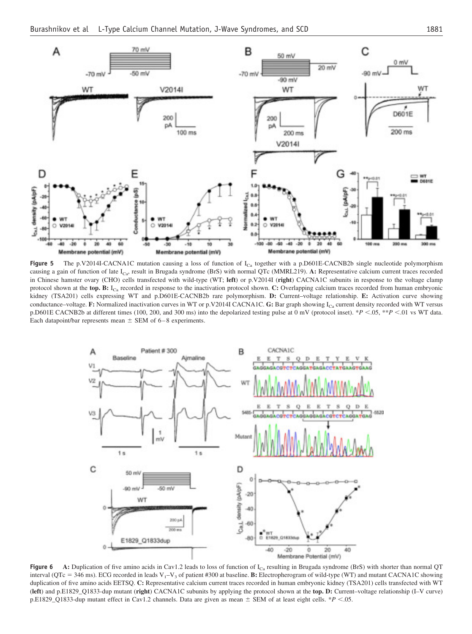<span id="page-9-0"></span>

Figure 5 The p.V2014I-CACNA1C mutation causing a loss of function of I<sub>Ca</sub> together with a p.D601E-CACNB2b single nucleotide polymorphism causing a gain of function of late ICa, result in Brugada syndrome (BrS) with normal QTc (MMRL219). **A:** Representative calcium current traces recorded in Chinese hamster ovary (CHO) cells transfected with wild-type (WT; **left**) or p.V2014I (**right**) CACNA1C subunits in response to the voltage clamp protocol shown at the top. B: I<sub>Ca</sub> recorded in response to the inactivation protocol shown. C: Overlapping calcium traces recorded from human embryonic kidney (TSA201) cells expressing WT and p.D601E-CACNB2b rare polymorphism. **D:** Current–voltage relationship. **E:** Activation curve showing conductance–voltage. **F:** Normalized inactivation curves in WT or p.V2014I CACNA1C. **G:** Bar graph showing  $I_{Ca}$  current density recorded with WT versus p.D601E CACNB2b at different times (100, 200, and 300 ms) into the depolarized testing pulse at 0 mV (protocol inset). \**P* .05, \*\**P* .01 vs WT data. Each datapoint/bar represents mean  $\pm$  SEM of 6-8 experiments.



**Figure 6** A: Duplication of five amino acids in Cav1.2 leads to loss of function of I<sub>Ca</sub> resulting in Brugada syndrome (BrS) with shorter than normal QT interval ( $QTc = 346$  ms). ECG recorded in leads  $V_1 - V_3$  of patient #300 at baseline. **B:** Electropherogram of wild-type (WT) and mutant CACNA1C showing duplication of five amino acids EETSQ. **C:** Representative calcium current traces recorded in human embryonic kidney (TSA201) cells transfected with WT (**left**) and p.E1829\_Q1833-dup mutant (**right**) CACNA1C subunits by applying the protocol shown at the **top. D:** Current–voltage relationship (I–V curve) p.E1829\_Q1833-dup mutant effect in Cav1.2 channels. Data are given as mean  $\pm$  SEM of at least eight cells. \**P* <.05.